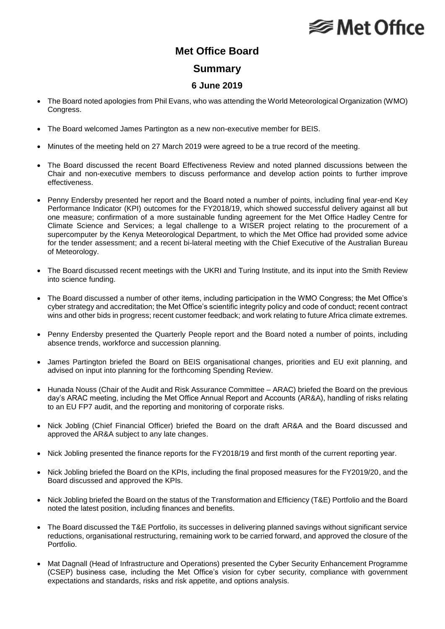# **⊗ Met Office**

### **Met Office Board**

#### **Summary**

### **6 June 2019**

- The Board noted apologies from Phil Evans, who was attending the World Meteorological Organization (WMO) Congress.
- The Board welcomed James Partington as a new non-executive member for BEIS.
- Minutes of the meeting held on 27 March 2019 were agreed to be a true record of the meeting.
- The Board discussed the recent Board Effectiveness Review and noted planned discussions between the Chair and non-executive members to discuss performance and develop action points to further improve effectiveness.
- Penny Endersby presented her report and the Board noted a number of points, including final year-end Key Performance Indicator (KPI) outcomes for the FY2018/19, which showed successful delivery against all but one measure; confirmation of a more sustainable funding agreement for the Met Office Hadley Centre for Climate Science and Services; a legal challenge to a WISER project relating to the procurement of a supercomputer by the Kenya Meteorological Department, to which the Met Office had provided some advice for the tender assessment; and a recent bi-lateral meeting with the Chief Executive of the Australian Bureau of Meteorology.
- The Board discussed recent meetings with the UKRI and Turing Institute, and its input into the Smith Review into science funding.
- The Board discussed a number of other items, including participation in the WMO Congress; the Met Office's cyber strategy and accreditation; the Met Office's scientific integrity policy and code of conduct; recent contract wins and other bids in progress; recent customer feedback; and work relating to future Africa climate extremes.
- Penny Endersby presented the Quarterly People report and the Board noted a number of points, including absence trends, workforce and succession planning.
- James Partington briefed the Board on BEIS organisational changes, priorities and EU exit planning, and advised on input into planning for the forthcoming Spending Review.
- Hunada Nouss (Chair of the Audit and Risk Assurance Committee ARAC) briefed the Board on the previous day's ARAC meeting, including the Met Office Annual Report and Accounts (AR&A), handling of risks relating to an EU FP7 audit, and the reporting and monitoring of corporate risks.
- Nick Jobling (Chief Financial Officer) briefed the Board on the draft AR&A and the Board discussed and approved the AR&A subject to any late changes.
- Nick Jobling presented the finance reports for the FY2018/19 and first month of the current reporting year.
- Nick Jobling briefed the Board on the KPIs, including the final proposed measures for the FY2019/20, and the Board discussed and approved the KPIs.
- Nick Jobling briefed the Board on the status of the Transformation and Efficiency (T&E) Portfolio and the Board noted the latest position, including finances and benefits.
- The Board discussed the T&E Portfolio, its successes in delivering planned savings without significant service reductions, organisational restructuring, remaining work to be carried forward, and approved the closure of the Portfolio.
- Mat Dagnall (Head of Infrastructure and Operations) presented the Cyber Security Enhancement Programme (CSEP) business case, including the Met Office's vision for cyber security, compliance with government expectations and standards, risks and risk appetite, and options analysis.